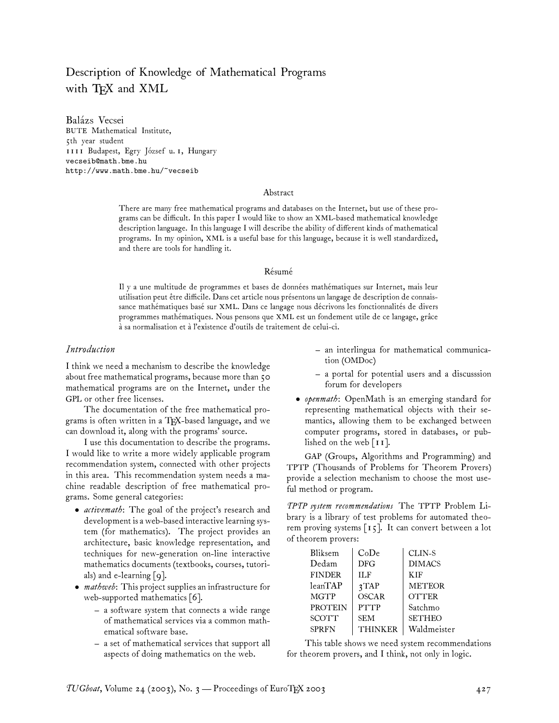# Description of Knowledge of Mathematical Programs with TEX and XML

Balázs Vecsei BUTE Mathematical Institute, 5th year student 1111 Budapest, Egry József u. 1, Hungary vecseib@math.bme.hu http://www.math.bme.hu/~vecseib

#### Abstract

There are many free mathematical programs and databases on the Internet, but use of these programs can be difficult. In this paper I would like to show an XML-based mathematical knowledge description language. In this language I will describe the ability of different kinds of mathematical programs. In my opinion, XML is a useful base for this language, because it is well standardized, and there are tools for handling it.

#### Résumé

Il y a une multitude de programmes et bases de données mathématiques sur Internet, mais leur utilisation peut être difficile. Dans cet article nous présentons un langage de description de connaissance mathématiques basé sur XML. Dans ce langage nous décrivons les fonctionnalités de divers programmes mathématiques. Nous pensons que XML est un fondement utile de ce langage, grâce à sa normalisation et à l'existence d'outils de traitement de celui-ci.

#### *Introduction*

I think we need a mechanism to describe the knowledge about free mathematical programs, because more than 50 mathematical programs are on the Internet, under the GPL or other free licenses.

The documentation of the free mathematical programs is often written in a TEX-based language, and we can download it, along with the programs' source.

I use this documentation to describe the programs. I would like to write a more widely applicable program recommendation system, connected with other projects in this area. This recommendation system needs a machine readable description of free mathematical programs. Some general categories:

- *activemath*: The goal of the project's research and development is a web-based interactive learning system (for mathematics). The project provides an architecture, basic knowledge representation, and techniques for new-generation on-line interactive mathematics documents (textbooks, courses, tutorials) and e-learning  $\lceil 9 \rceil$ .
- *mathweb*: This project supplies an infrastructure for web-supported mathematics [6].
	- a software system that connects a wide range of mathematical services via a common mathematical software base.
	- a set of mathematical services that support all aspects of doing mathematics on the web.
- an interlingua for mathematical communication (OMDoc)
- a portal for potential users and a discusssion forum for developers
- *openmath*: OpenMath is an emerging standard for representing mathematical objects with their semantics, allowing them to be exchanged between computer programs, stored in databases, or published on the web [11].

GAP (Groups, Algorithms and Programming) and TPTP (Thousands of Problems for Theorem Provers) provide a selection mechanism to choose the most useful method or program.

*TPTP system recommendations* The TPTP Problem Library is a library of test problems for automated theorem proving systems [15]. It can convert between a lot of theorem provers:

| Bliksem        | CoDe             | CLIN-S        |
|----------------|------------------|---------------|
| Dedam          | <b>DFG</b>       | <b>DIMACS</b> |
| <b>FINDER</b>  | <b>ILF</b>       | <b>KIF</b>    |
| leanTAP        | 3 <sup>TAP</sup> | <b>METEOR</b> |
| <b>MGTP</b>    | <b>OSCAR</b>     | <b>OTTER</b>  |
| <b>PROTEIN</b> | <b>PTTP</b>      | Satchmo       |
| <b>SCOTT</b>   | <b>SEM</b>       | <b>SETHEO</b> |
| <b>SPRFN</b>   | <b>THINKER</b>   | Waldmeister   |

This table shows we need system recommendations for theorem provers, and I think, not only in logic.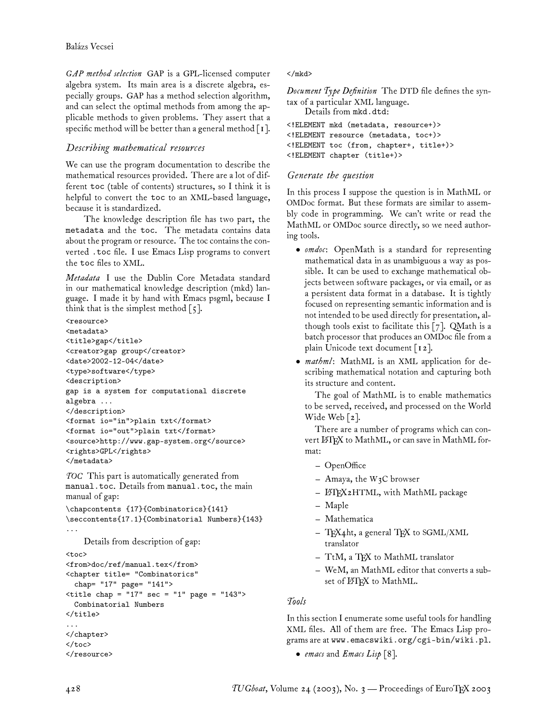*GAP method selection* GAP is a GPL-licensed computer algebra system. Its main area is a discrete algebra, especially groups. GAP has a method selection algorithm, and can select the optimal methods from among the applicable methods to given problems. They assert that a specific method will be better than a general method  $[I]$ .

# *Describing mathematical resources*

We can use the program documentation to describe the mathematical resources provided. There are a lot of different toc (table of contents) structures, so I think it is helpful to convert the toc to an XML-based language, because it is standardized.

The knowledge description file has two part, the metadata and the toc. The metadata contains data about the program or resource. The toc contains the converted .toc file. I use Emacs Lisp programs to convert the toc files to XML.

*Metadata* I use the Dublin Core Metadata standard in our mathematical knowledge description (mkd) language. I made it by hand with Emacs psgml, because I think that is the simplest method  $\lceil 5 \rceil$ .

```
<resource>
<metadata>
<title>gap</title>
<creator>gap group</creator>
<date>2002-12-04</date>
<type>software</type>
<description>
gap is a system for computational discrete
algebra ...
</description>
<format io="in">plain txt</format>
<format io="out">plain txt</format>
<source>http://www.gap-system.org</source>
<rights>GPL</rights>
</metadata>
```
*TOC* This part is automatically generated from manual.toc. Details from manual.toc, the main manual of gap:

```
\chapcontents {17}{Combinatorics}{141}
\seccontents{17.1}{Combinatorial Numbers}{143}
...
```
Details from description of gap:

## <toc>

```
<from>doc/ref/manual.tex</from>
<chapter title= "Combinatorics"
```
chap= "17" page= "141">

```
\text{title chap} = "17" \text{ sec} = "1" \text{ page} = "143"Combinatorial Numbers
</title>
...
</chapter>
```

```
\langletoc>
</resource>
```
## </mkd>

*Document Type Definition* The DTD file defines the syntax of a particular XML language.

```
Details from mkd.dtd:
<!ELEMENT mkd (metadata, resource+)>
<!ELEMENT resource (metadata, toc+)>
<!ELEMENT toc (from, chapter+, title+)>
<!ELEMENT chapter (title+)>
```
# *Generate the question*

In this process I suppose the question is in MathML or OMDoc format. But these formats are similar to assembly code in programming. We can't write or read the MathML or OMDoc source directly, so we need authoring tools.

- *omdoc*: OpenMath is a standard for representing mathematical data in as unambiguous a way as possible. It can be used to exchange mathematical objects between software packages, or via email, or as a persistent data format in a database. It is tightly focused on representing semantic information and is not intended to be used directly for presentation, although tools exist to facilitate this  $[7]$ . QMath is a batch processor that produces an OMDoc file from a plain Unicode text document [12].
- *mathml*: MathML is an XML application for describing mathematical notation and capturing both its structure and content.

The goal of MathML is to enable mathematics to be served, received, and processed on the World Wide Web [2].

There are a number of programs which can convert LATEX to MathML, or can save in MathML format:

- OpenOffice
- $-$  Amaya, the W<sub>3</sub>C browser
- L<sup>A</sup>TEX2HTML, with MathML package
- Maple
- Mathematica
- $-$  TEX4ht, a general TEX to SGML/XML translator
- TtM, a TEX to MathML translator
- WeM, an MathML editor that converts a subset of LATEX to MathML.

## *Tools*

In this section I enumerate some useful tools for handling XML files. All of them are free. The Emacs Lisp programs are at www.emacswiki.org/cgi-bin/wiki.pl.

• *emacs* and *Emacs Lisp* [8].